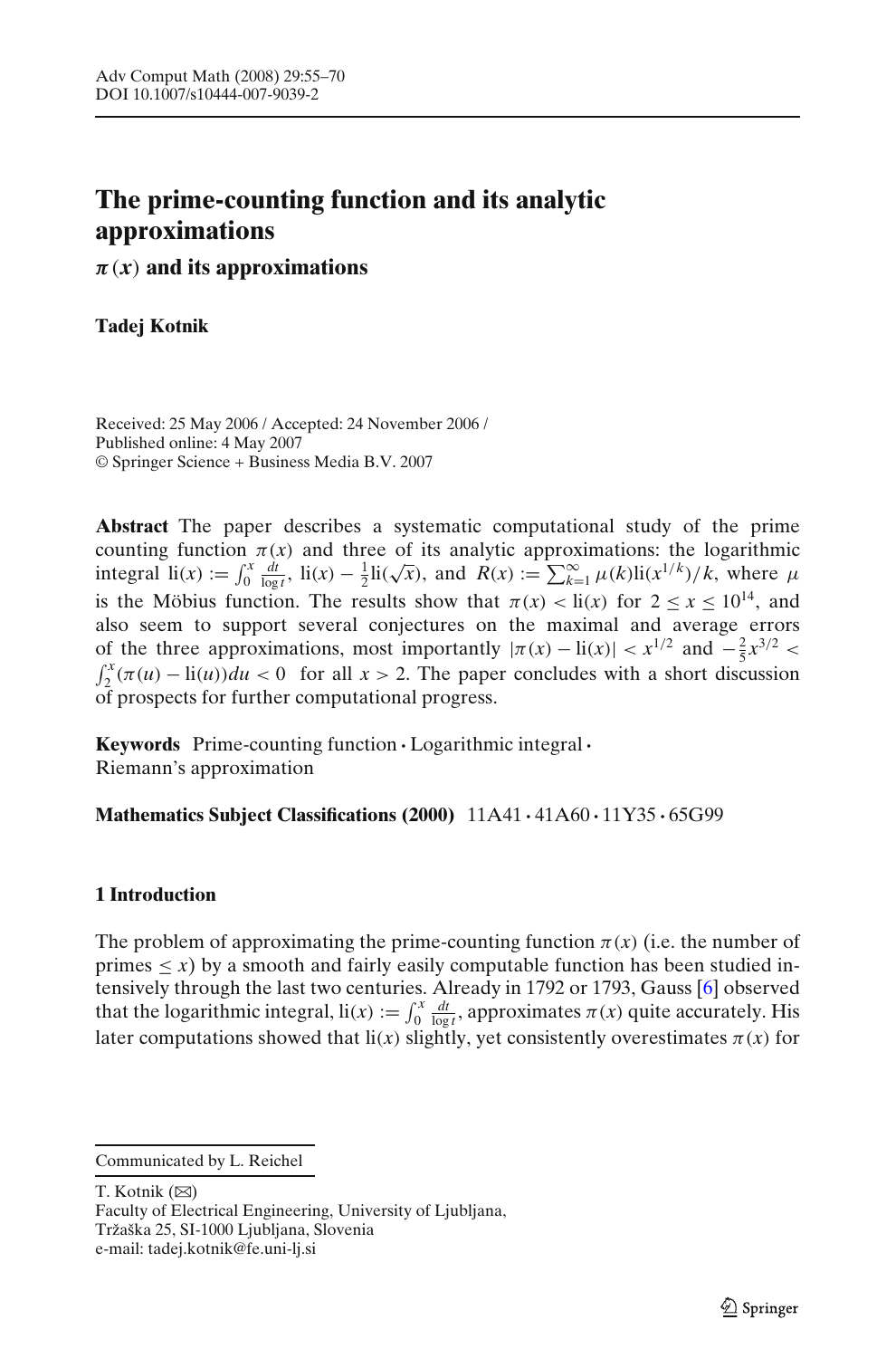# <span id="page-0-0"></span>**The prime-counting function and its analytic approximations**

*π*(*x*) **and its approximations**

**Tadej Kotnik**

Received: 25 May 2006 / Accepted: 24 November 2006 / Published online: 4 May 2007 © Springer Science + Business Media B.V. 2007

**Abstract** The paper describes a systematic computational study of the prime counting function  $\pi(x)$  and three of its analytic approximations: the logarithmic integral  $\text{li}(x) := \int_0^x$  $\frac{d}{dx}$ ,  $\frac{d}{dx}$ , li(*x*) –  $\frac{1}{2}$ li( $\sqrt{x}$ ), and *R*(*x*) :=  $\sum_{k=1}^{\infty} \mu(k)$ li( $x^{1/k}$ )/*k*, where  $\mu$ is the Möbius function. The results show that  $\pi(x) < \text{li}(x)$  for  $2 \le x \le 10^{14}$ , and also seem to support several conjectures on the maximal and average errors of the three approximations, most importantly  $|\pi(x) - \text{li}(x)| < x^{1/2}$  and  $-\frac{2}{5}x^{3/2} <$  $\int_{2}^{x} (\pi(u) - \text{li}(u)) du < 0$  for all  $x > 2$ . The paper concludes with a short discussion of prospects for further computational progress.

**Keywords** Prime-counting function **·**Logarithmic integral**·** Riemann's approximation

**Mathematics Subject Classifications (2000)** 11A41 **·** 41A60 **·** 11Y35 **·** 65G99

# **1 Introduction**

The problem of approximating the prime-counting function  $\pi(x)$  (i.e. the number of primes  $\langle x \rangle$  by a smooth and fairly easily computable function has been studied intensively through the last two centuries. Already in 1792 or 1793, Gauss [\[6\]](#page-14-0) observed that the logarithmic integral,  $\text{li}(x) := \int_0^x$  $\frac{d}{d\theta}$   $\frac{dt}{\log t}$ , approximates  $\pi(x)$  quite accurately. His later computations showed that  $\text{li}(x)$  slightly, yet consistently overestimates  $\pi(x)$  for

T. Kotnik  $(\boxtimes)$ 

Faculty of Electrical Engineering, University of Ljubljana, Tržaška 25, SI-1000 Ljubljana, Slovenia e-mail: tadej.kotnik@fe.uni-lj.si

Communicated by L. Reichel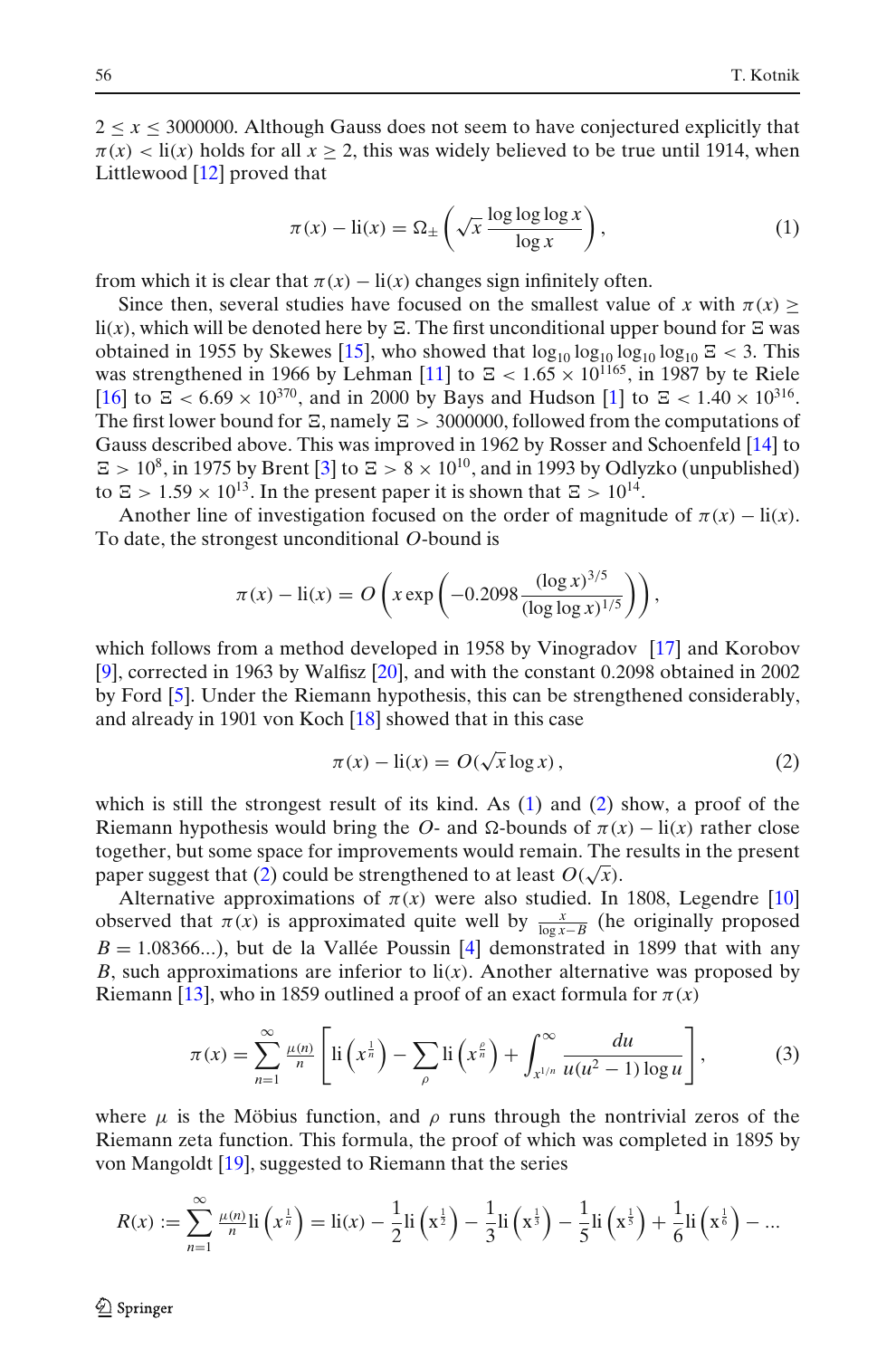<span id="page-1-0"></span> $2 \le x \le 3000000$ . Although Gauss does not seem to have conjectured explicitly that  $\pi(x)$  < li(x) holds for all  $x \ge 2$ , this was widely believed to be true until 1914, when Littlewood [\[12](#page-14-0)] proved that

$$
\pi(x) - \text{li}(x) = \Omega_{\pm} \left( \sqrt{x} \frac{\log \log \log x}{\log x} \right),\tag{1}
$$

from which it is clear that  $\pi(x) - \text{li}(x)$  changes sign infinitely often.

Since then, several studies have focused on the smallest value of *x* with  $\pi(x)$  $\text{li}(x)$ , which will be denoted here by  $\Xi$ . The first unconditional upper bound for  $\Xi$  was obtained in 1955 by Skewes [\[15\]](#page-14-0), who showed that  $\log_{10} \log_{10} \log_{10} \log_{10} Z < 3$ . This was strengthened in 1966 by Lehman [\[11](#page-14-0)] to  $\approx$  < 1.65  $\times$  10<sup>1165</sup>, in 1987 by te Riele [\[16](#page-15-0)] to  $\Xi$  < 6.69 × 10<sup>370</sup>, and in 2000 by Bays and Hudson [\[1\]](#page-14-0) to  $\Xi$  < 1.40 × 10<sup>316</sup>. The first lower bound for  $\Xi$ , namely  $\Xi > 3000000$ , followed from the computations of Gauss described above. This was improved in 1962 by Rosser and Schoenfeld [\[14\]](#page-14-0) to  $\Xi > 10^8$ , in 1975 by Brent [\[3](#page-14-0)] to  $\Xi > 8 \times 10^{10}$ , and in 1993 by Odlyzko (unpublished) to  $\Xi > 1.59 \times 10^{13}$ . In the present paper it is shown that  $\Xi > 10^{14}$ .

Another line of investigation focused on the order of magnitude of  $\pi(x) - \text{li}(x)$ . To date, the strongest unconditional *O*-bound is

$$
\pi(x) - \text{li}(x) = O\left(x \exp\left(-0.2098 \frac{(\log x)^{3/5}}{(\log \log x)^{1/5}}\right)\right),\,
$$

which follows from a method developed in 1958 by Vinogradov [\[17](#page-15-0)] and Korobov [\[9\]](#page-14-0), corrected in 1963 by Walfisz [\[20\]](#page-15-0), and with the constant 0.2098 obtained in 2002 by Ford [\[5](#page-14-0)]. Under the Riemann hypothesis, this can be strengthened considerably, and already in 1901 von Koch [\[18](#page-15-0)] showed that in this case

$$
\pi(x) - \text{li}(x) = O(\sqrt{x} \log x),\tag{2}
$$

which is still the strongest result of its kind. As  $(1)$  and  $(2)$  show, a proof of the Riemann hypothesis would bring the *O*- and  $\Omega$ -bounds of  $\pi(x) - \text{li}(x)$  rather close together, but some space for improvements would remain. The results in the present paper suggest that (2) could be strengthened to at least  $O(\sqrt{x})$ .

Alternative approximations of  $\pi(x)$  were also studied. In 1808, Legendre [\[10](#page-14-0)] observed that  $\pi(x)$  is approximated quite well by  $\frac{x}{\log x - B}$  (he originally proposed  $B = 1.08366...$ , but de la Vallée Poussin [\[4](#page-14-0)] demonstrated in 1899 that with any *B*, such approximations are inferior to  $\text{li}(x)$ . Another alternative was proposed by Riemann [\[13\]](#page-14-0), who in 1859 outlined a proof of an exact formula for  $\pi(x)$ 

$$
\pi(x) = \sum_{n=1}^{\infty} \frac{\mu(n)}{n} \left[ \mathrm{li}\left(x^{\frac{1}{n}}\right) - \sum_{\rho} \mathrm{li}\left(x^{\frac{\rho}{n}}\right) + \int_{x^{1/n}}^{\infty} \frac{du}{u(u^2 - 1) \log u} \right],\tag{3}
$$

where  $\mu$  is the Möbius function, and  $\rho$  runs through the nontrivial zeros of the Riemann zeta function. This formula, the proof of which was completed in 1895 by von Mangoldt [\[19\]](#page-15-0), suggested to Riemann that the series

$$
R(x) := \sum_{n=1}^{\infty} \frac{\mu(n)}{n} \text{li}\left(x^{\frac{1}{n}}\right) = \text{li}(x) - \frac{1}{2} \text{li}\left(x^{\frac{1}{2}}\right) - \frac{1}{3} \text{li}\left(x^{\frac{1}{3}}\right) - \frac{1}{5} \text{li}\left(x^{\frac{1}{5}}\right) + \frac{1}{6} \text{li}\left(x^{\frac{1}{6}}\right) - \dots
$$

2 Springer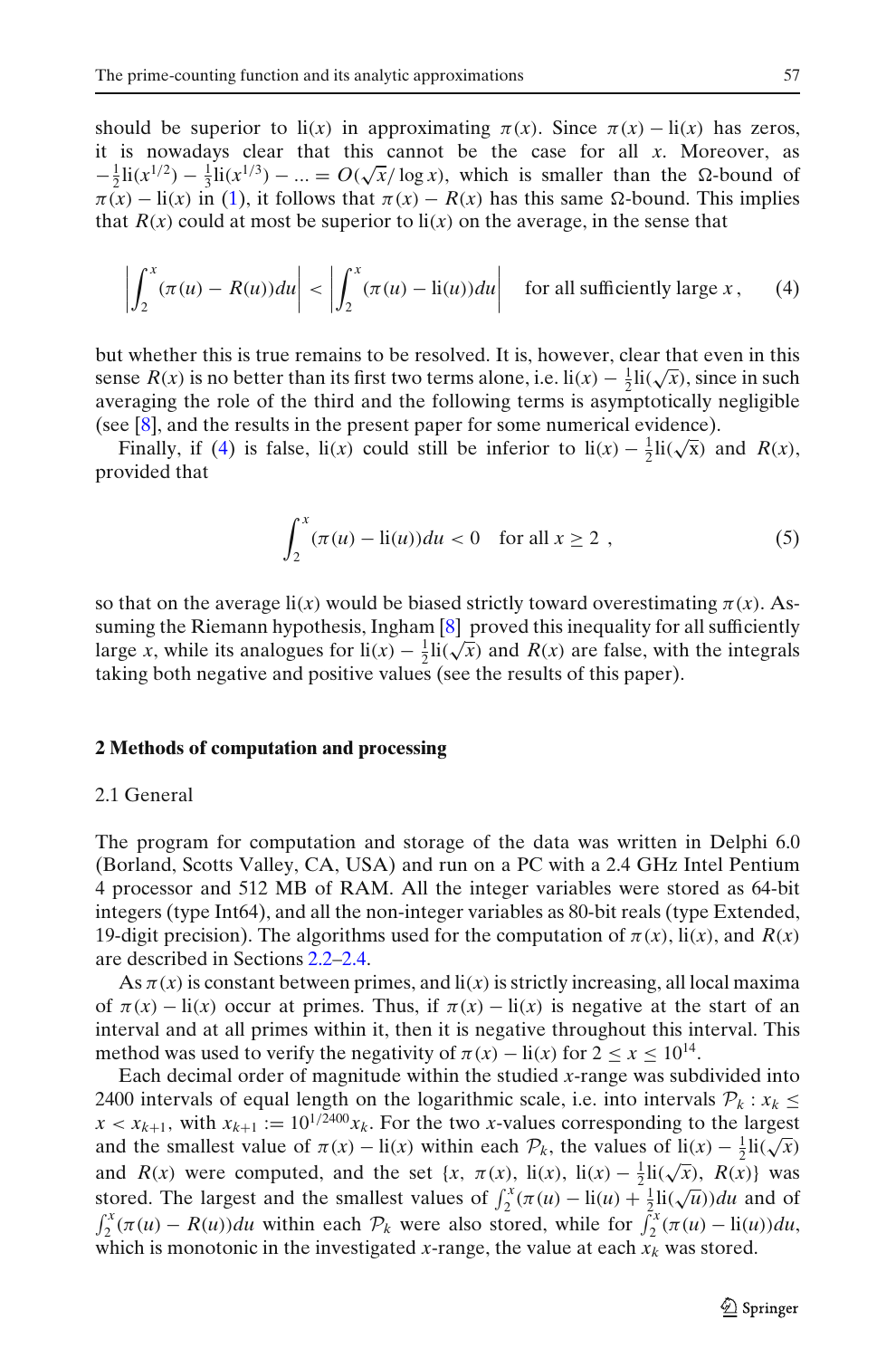<span id="page-2-0"></span>should be superior to  $\text{li}(x)$  in approximating  $\pi(x)$ . Since  $\pi(x) - \text{li}(x)$  has zeros, it is nowadays clear that this cannot be the case for all *x*. Moreover, as  $-\frac{1}{2}$ li(*x*<sup>1/2</sup>) −  $\frac{1}{3}$ li(*x*<sup>1/3</sup>) − ... = *O*( $\sqrt{x}$ / log *x*), which is smaller than the Ω-bound of  $\pi(x) - \text{li}(x)$  in [\(1\)](#page-1-0), it follows that  $\pi(x) - R(x)$  has this same  $\Omega$ -bound. This implies that  $R(x)$  could at most be superior to  $\mathbf{li}(x)$  on the average, in the sense that

$$
\left| \int_{2}^{x} (\pi(u) - R(u)) du \right| < \left| \int_{2}^{x} (\pi(u) - \text{li}(u)) du \right| \quad \text{for all sufficiently large } x \,, \tag{4}
$$

but whether this is true remains to be resolved. It is, however, clear that even in this sense *R*(*x*) is no better than its first two terms alone, i.e.  $\text{li}(x) - \frac{1}{2}\text{li}(\sqrt{x})$ , since in such averaging the role of the third and the following terms is asymptotically negligible (see [\[8\]](#page-14-0), and the results in the present paper for some numerical evidence).

Finally, if (4) is false, li(*x*) could still be inferior to li(*x*)  $-\frac{1}{2}$ li( $\sqrt{x}$ ) and *R*(*x*), provided that

$$
\int_{2}^{x} (\pi(u) - \text{li}(u))du < 0 \quad \text{for all } x \ge 2 ,
$$
 (5)

so that on the average  $\text{li}(x)$  would be biased strictly toward overestimating  $\pi(x)$ . Assuming the Riemann hypothesis, Ingham  $[8]$  $[8]$  proved this inequality for all sufficiently large *x*, while its analogues for  $\text{li}(x) - \frac{1}{2} \text{li}(\sqrt{x})$  and *R*(*x*) are false, with the integrals taking both negative and positive values (see the results of this paper).

#### **2 Methods of computation and processing**

## 2.1 General

The program for computation and storage of the data was written in Delphi 6.0 (Borland, Scotts Valley, CA, USA) and run on a PC with a 2.4 GHz Intel Pentium 4 processor and 512 MB of RAM. All the integer variables were stored as 64-bit integers (type Int64), and all the non-integer variables as 80-bit reals (type Extended, 19-digit precision). The algorithms used for the computation of  $\pi(x)$ , li(*x*), and  $R(x)$ are described in Sections [2.2–2.4.](#page-3-0)

As  $\pi(x)$  is constant between primes, and  $\text{li}(x)$  is strictly increasing, all local maxima of  $\pi(x) - \text{li}(x)$  occur at primes. Thus, if  $\pi(x) - \text{li}(x)$  is negative at the start of an interval and at all primes within it, then it is negative throughout this interval. This method was used to verify the negativity of  $\pi(x) - \text{li}(x)$  for  $2 \le x \le 10^{14}$ .

Each decimal order of magnitude within the studied *x*-range was subdivided into 2400 intervals of equal length on the logarithmic scale, i.e. into intervals  $\mathcal{P}_k$ :  $x_k \leq$  $x < x_{k+1}$ , with  $x_{k+1} := 10^{1/2400} x_k$ . For the two *x*-values corresponding to the largest and the smallest value of  $\pi(x)$  − li(*x*) within each  $\mathcal{P}_k$ , the values of li(*x*) −  $\frac{1}{2}$ li( $\sqrt{x}$ ) and the smallest value of  $\pi(x)$  − li(*x*) within each  $\mathcal{P}_k$ , the values of li(*x*) −  $\frac{1}{2}$ li( $\sqrt{x}$ ) and *R*(*x*) were computed, and the set {*x*,  $\pi(x)$ , li(*x*), li(*x*) −  $\frac{1}{2}$ li( $\sqrt{x}$ ), *R*(*x*)} was stored. The largest and the smallest values of  $\int_{2}^{x} (\pi(u) - \text{li}(u) + \frac{1}{2} \text{li}(\sqrt{u})) du$  and of  $\int_2^x (\pi(u) - R(u))du$  within each  $\mathcal{P}_k$  were also stored, while for  $\int_2^x (\pi(u) - \text{li}(u))du$ , which is monotonic in the investigated *x*-range, the value at each  $\overline{x_k}$  was stored.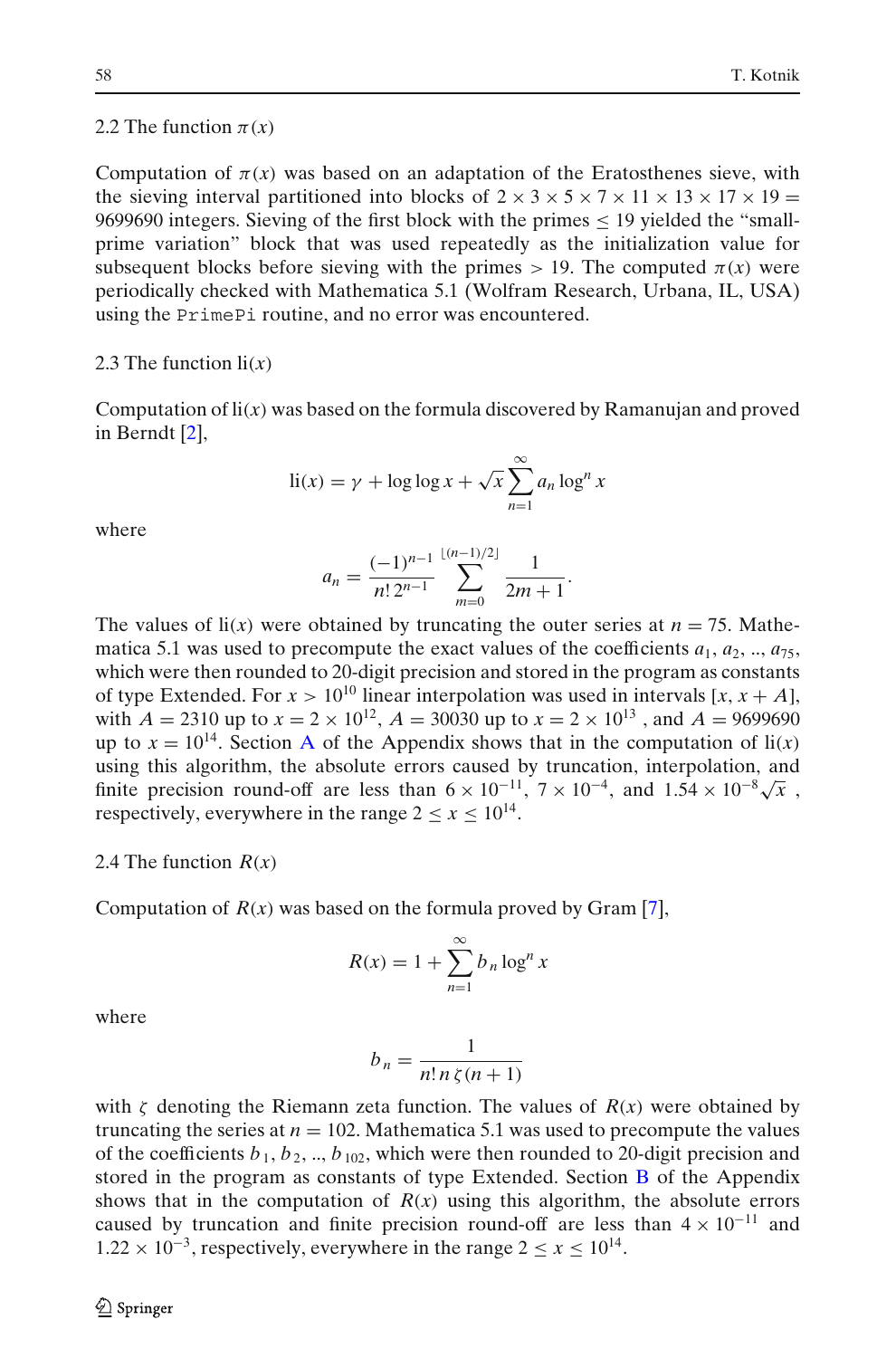#### <span id="page-3-0"></span>2.2 The function  $\pi(x)$

Computation of  $\pi(x)$  was based on an adaptation of the Eratosthenes sieve, with the sieving interval partitioned into blocks of  $2 \times 3 \times 5 \times 7 \times 11 \times 13 \times 17 \times 19 =$ 9699690 integers. Sieving of the first block with the primes  $\leq$  19 yielded the "smallprime variation" block that was used repeatedly as the initialization value for subsequent blocks before sieving with the primes  $> 19$ . The computed  $\pi(x)$  were periodically checked with Mathematica 5.1 (Wolfram Research, Urbana, IL, USA) using the PrimePi routine, and no error was encountered.

#### 2.3 The function  $\mathbf{li}(x)$

Computation of li(*x*) was based on the formula discovered by Ramanujan and proved in Berndt [\[2](#page-14-0)],

$$
\text{li}(x) = \gamma + \log \log x + \sqrt{x} \sum_{n=1}^{\infty} a_n \log^n x
$$

where

$$
a_n = \frac{(-1)^{n-1}}{n! \, 2^{n-1}} \sum_{m=0}^{\lfloor (n-1)/2 \rfloor} \frac{1}{2m+1}.
$$

The values of  $\text{li}(x)$  were obtained by truncating the outer series at  $n = 75$ . Mathematica 5.1 was used to precompute the exact values of the coefficients  $a_1, a_2, ..., a_{75}$ , which were then rounded to 20-digit precision and stored in the program as constants of type Extended. For  $x > 10^{10}$  linear interpolation was used in intervals [x, x + A], with  $A = 2310$  up to  $x = 2 \times 10^{12}$ ,  $A = 30030$  up to  $x = 2 \times 10^{13}$ , and  $A = 9699690$ up to  $x = 10^{14}$ . Section [A](#page-9-0) of the Appendix shows that in the computation of  $\text{li}(x)$ using this algorithm, the absolute errors caused by truncation, interpolation, and finite precision round-off are less than  $6 \times 10^{-11}$ ,  $7 \times 10^{-4}$ , and  $1.54 \times 10^{-8} \sqrt{x}$ , respectively, everywhere in the range  $2 \le x \le 10^{14}$ .

#### 2.4 The function *R*(*x*)

Computation of  $R(x)$  was based on the formula proved by Gram [\[7\]](#page-14-0),

$$
R(x) = 1 + \sum_{n=1}^{\infty} b_n \log^n x
$$

where

$$
b_n = \frac{1}{n! \, n \, \zeta(n+1)}
$$

with  $\zeta$  denoting the Riemann zeta function. The values of  $R(x)$  were obtained by truncating the series at  $n = 102$ . Mathematica 5.1 was used to precompute the values of the coefficients  $b_1, b_2, ..., b_{102}$ , which were then rounded to 20-digit precision and stored in the program as constants of type Extended. Section [B](#page-12-0) of the Appendix shows that in the computation of  $R(x)$  using this algorithm, the absolute errors caused by truncation and finite precision round-off are less than  $4 \times 10^{-11}$  and  $1.22 \times 10^{-3}$ , respectively, everywhere in the range  $2 \le x \le 10^{14}$ .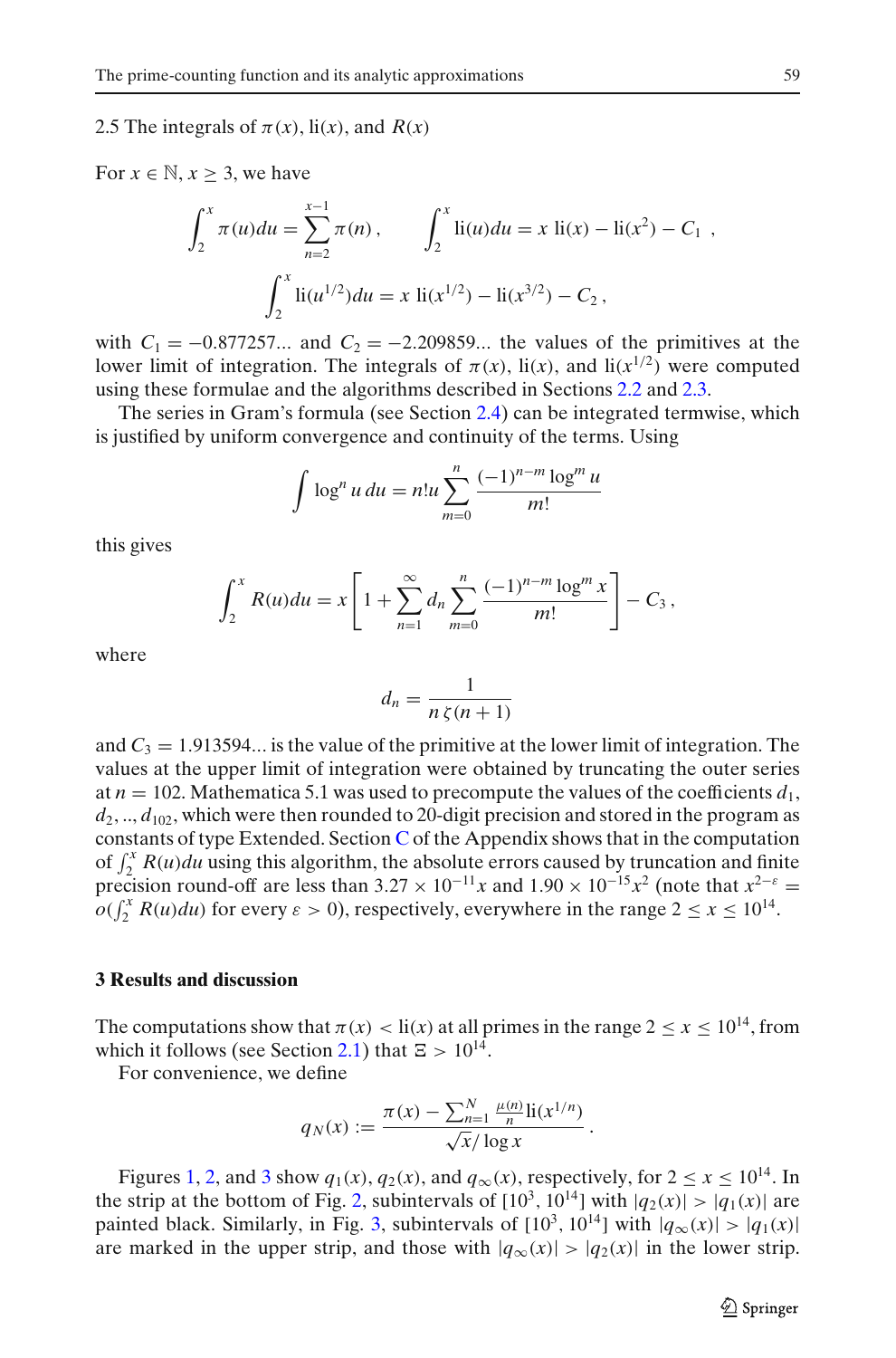## <span id="page-4-0"></span>2.5 The integrals of  $\pi(x)$ , li(*x*), and  $R(x)$

For  $x \in \mathbb{N}, x \geq 3$ , we have

$$
\int_2^x \pi(u) du = \sum_{n=2}^{x-1} \pi(n), \qquad \int_2^x \text{li}(u) du = x \text{ li}(x) - \text{li}(x^2) - C_1 ,
$$

$$
\int_2^x \text{li}(u^{1/2}) du = x \text{li}(x^{1/2}) - \text{li}(x^{3/2}) - C_2 ,
$$

with  $C_1 = -0.877257...$  and  $C_2 = -2.209859...$  the values of the primitives at the lower limit of integration. The integrals of  $\pi(x)$ ,  $\text{li}(x)$ , and  $\text{li}(x^{1/2})$  were computed using these formulae and the algorithms described in Sections [2.2](#page-3-0) and [2.3.](#page-3-0)

The series in Gram's formula (see Section [2.4\)](#page-3-0) can be integrated termwise, which is justified by uniform convergence and continuity of the terms. Using

$$
\int \log^n u \, du = n!u \sum_{m=0}^n \frac{(-1)^{n-m} \log^m u}{m!}
$$

this gives

$$
\int_2^x R(u) du = x \left[ 1 + \sum_{n=1}^\infty d_n \sum_{m=0}^n \frac{(-1)^{n-m} \log^m x}{m!} \right] - C_3,
$$

where

$$
d_n = \frac{1}{n\,\zeta(n+1)}
$$

and  $C_3 = 1.913594...$  is the value of the primitive at the lower limit of integration. The values at the upper limit of integration were obtained by truncating the outer series at  $n = 102$ . Mathematica 5.1 was used to precompute the values of the coefficients  $d_1$ ,  $d_2, ..., d_{102}$ , which were then rounded to 20-digit precision and stored in the program as constants of type Extended. Section [C](#page-13-0) of the Appendix shows that in the computation of  $\int_2^x R(u)du$  using this algorithm, the absolute errors caused by truncation and finite precision round-off are less than  $3.27 \times 10^{-11}x$  and  $1.90 \times 10^{-15}x^2$  (note that  $x^{2-\epsilon} =$  $o(\int_2^x R(u)du)$  for every  $\varepsilon > 0$ ), respectively, everywhere in the range  $2 \le x \le 10^{14}$ .

#### **3 Results and discussion**

The computations show that  $\pi(x) < \text{li}(x)$  at all primes in the range  $2 \le x \le 10^{14}$ , from which it follows (see Section [2.1\)](#page-2-0) that  $\Xi > 10^{14}$ .

For convenience, we define

$$
q_N(x) := \frac{\pi(x) - \sum_{n=1}^N \frac{\mu(n)}{n} \text{li}(x^{1/n})}{\sqrt{x}/\log x}.
$$

Figures [1,](#page-5-0) [2,](#page-5-0) and [3](#page-6-0) show  $q_1(x)$ ,  $q_2(x)$ , and  $q_\infty(x)$ , respectively, for  $2 \le x \le 10^{14}$ . In the strip at the bottom of Fig. [2,](#page-5-0) subintervals of  $[10^3, 10^{14}]$  with  $|q_2(x)| > |q_1(x)|$  are painted black. Similarly, in Fig. [3,](#page-6-0) subintervals of  $[10^3, 10^{14}]$  with  $|q_\infty(x)| > |q_1(x)|$ are marked in the upper strip, and those with  $|q_\infty(x)| > |q_2(x)|$  in the lower strip.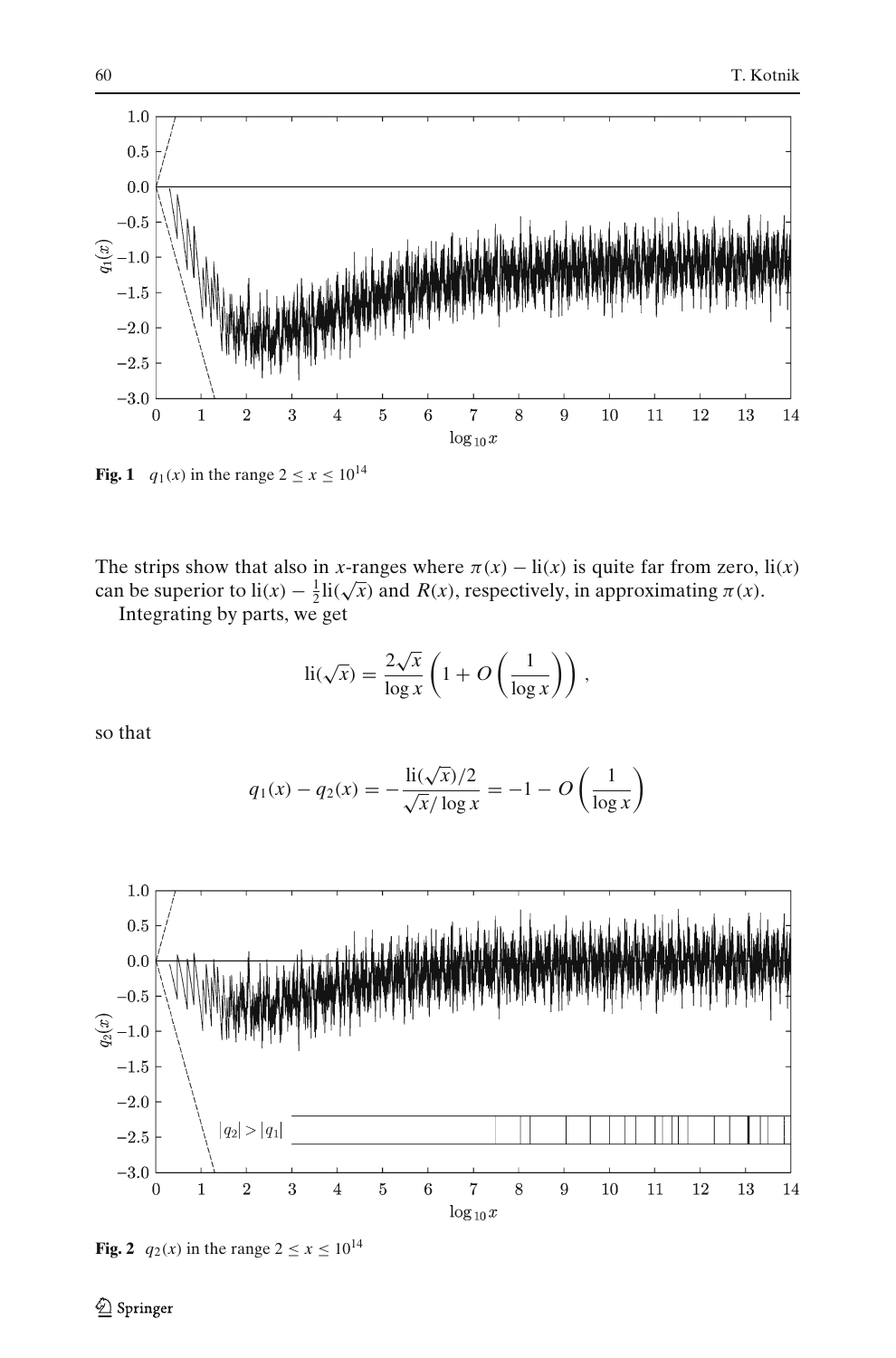<span id="page-5-0"></span>

**Fig. 1** *q*<sub>1</sub>(*x*) in the range  $2 \le x \le 10^{14}$ 

The strips show that also in *x*-ranges where  $\pi(x) - \text{li}(x)$  is quite far from zero,  $\text{li}(x)$ Fire strips show that also in *x*-tanges where  $h(x) - h(x)$  is quite far from zero,<br>can be superior to  $h(x) - \frac{1}{2}h(\sqrt{x})$  and  $R(x)$ , respectively, in approximating  $\pi(x)$ .

Integrating by parts, we get

$$
\text{li}(\sqrt{x}) = \frac{2\sqrt{x}}{\log x} \left( 1 + O\left(\frac{1}{\log x}\right) \right),
$$

so that

$$
q_1(x) - q_2(x) = -\frac{\text{li}(\sqrt{x})/2}{\sqrt{x}/\log x} = -1 - O\left(\frac{1}{\log x}\right)
$$



**Fig. 2**  $q_2(x)$  in the range  $2 \le x \le 10^{14}$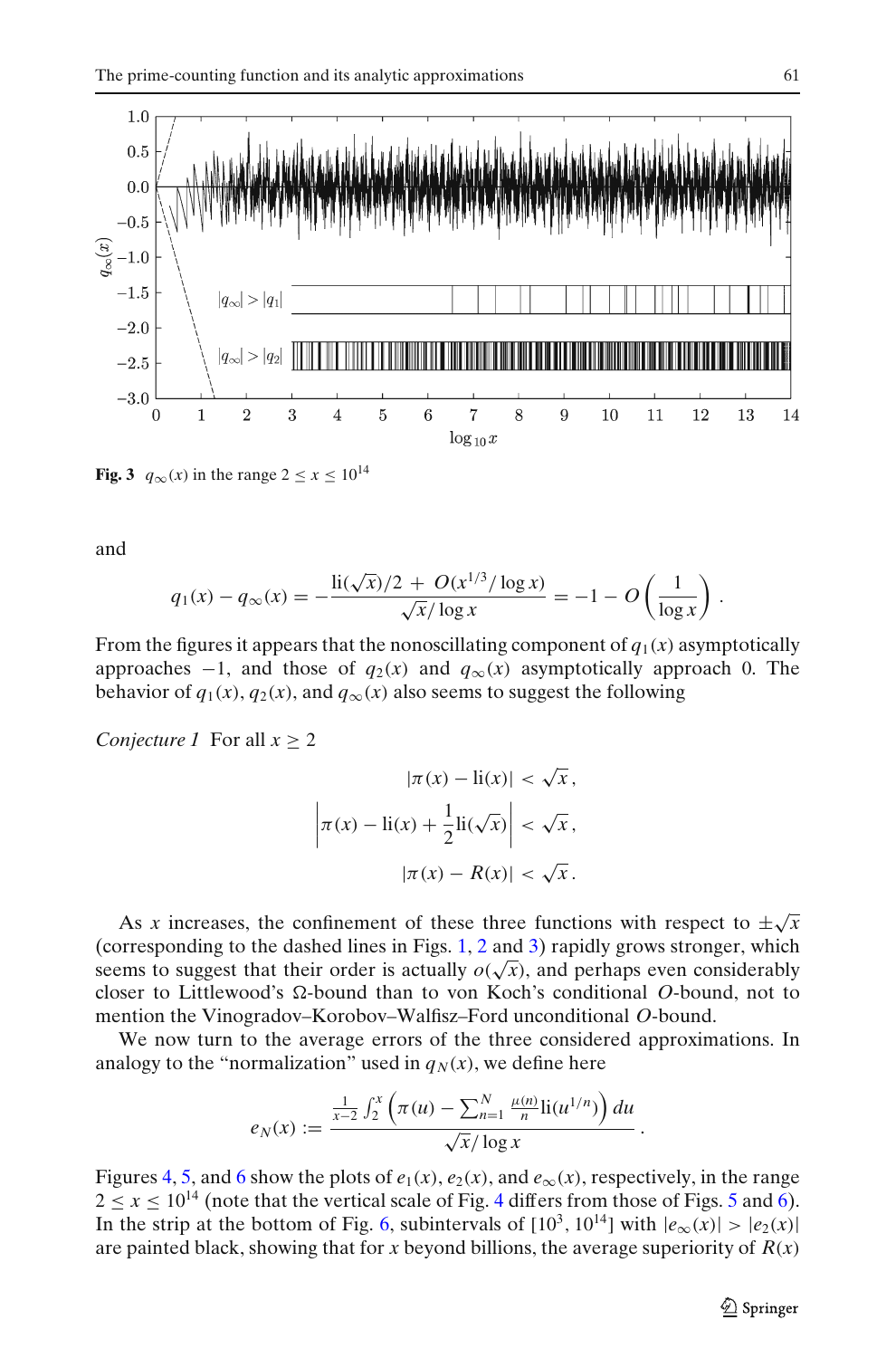<span id="page-6-0"></span>

**Fig. 3**  $q_{\infty}(x)$  in the range  $2 \le x \le 10^{14}$ 

and

$$
q_1(x) - q_\infty(x) = -\frac{\text{li}(\sqrt{x})/2 + O(x^{1/3}) \log x}{\sqrt{x}/\log x} = -1 - O\left(\frac{1}{\log x}\right).
$$

From the figures it appears that the nonoscillating component of  $q_1(x)$  asymptotically approaches  $-1$ , and those of  $q_2(x)$  and  $q_\infty(x)$  asymptotically approach 0. The behavior of  $q_1(x)$ ,  $q_2(x)$ , and  $q_\infty(x)$  also seems to suggest the following

*Conjecture 1* For all  $x \geq 2$ 

$$
|\pi(x) - \text{li}(x)| < \sqrt{x},
$$
\n
$$
\left| \pi(x) - \text{li}(x) + \frac{1}{2} \text{li}(\sqrt{x}) \right| < \sqrt{x},
$$
\n
$$
|\pi(x) - R(x)| < \sqrt{x}.
$$

As *x* increases, the confinement of these three functions with respect to  $\pm\sqrt{x}$ (corresponding to the dashed lines in Figs. [1,](#page-5-0) [2](#page-5-0) and 3) rapidly grows stronger, which seems to suggest that their order is actually  $o(\sqrt{x})$ , and perhaps even considerably closer to Littlewood's  $\Omega$ -bound than to von Koch's conditional O-bound, not to mention the Vinogradov–Korobov–Walfisz–Ford unconditional *O*-bound.

We now turn to the average errors of the three considered approximations. In analogy to the "normalization" used in  $q_N(x)$ , we define here

$$
e_N(x) := \frac{\frac{1}{x-2} \int_2^x \left( \pi(u) - \sum_{n=1}^N \frac{\mu(n)}{n} \text{li}(u^{1/n}) \right) du}{\sqrt{x}/\log x}.
$$

Figures [4,](#page-7-0) [5,](#page-7-0) and [6](#page-8-0) show the plots of  $e_1(x)$ ,  $e_2(x)$ , and  $e_\infty(x)$ , respectively, in the range  $2 \le x \le 10^{14}$  $2 \le x \le 10^{14}$  $2 \le x \le 10^{14}$  (note that the vertical scale of Fig. 4 differs from those of Figs. [5](#page-7-0) and [6\)](#page-8-0). In the strip at the bottom of Fig. [6,](#page-8-0) subintervals of  $[10^3, 10^{14}]$  with  $|e_{\infty}(x)| > |e_2(x)|$ are painted black, showing that for *x* beyond billions, the average superiority of *R*(*x*)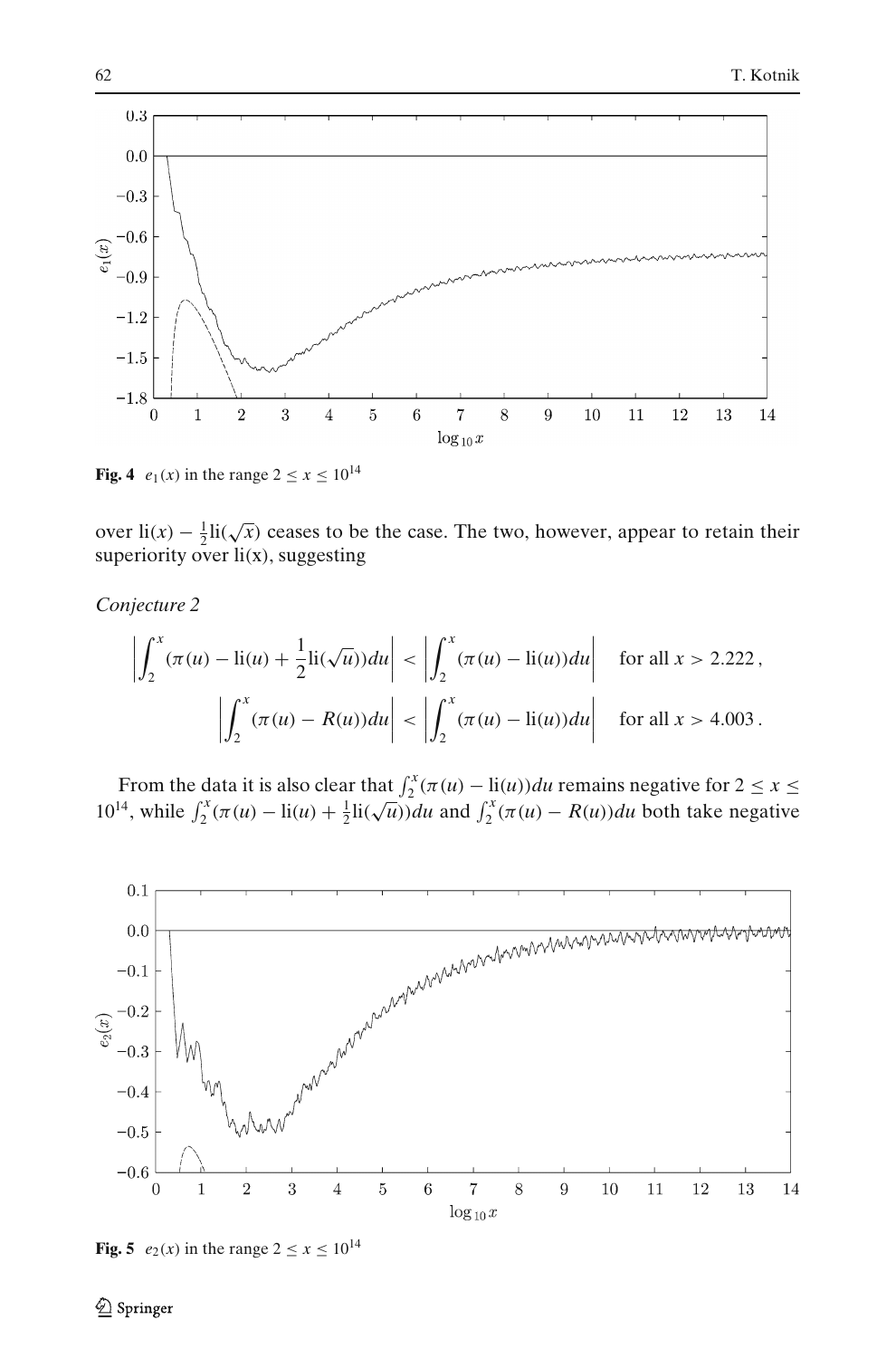<span id="page-7-0"></span>

**Fig. 4**  $e_1(x)$  in the range  $2 \le x \le 10^{14}$ 

over  $\text{li}(x) - \frac{1}{2} \text{li}(\sqrt{x})$  ceases to be the case. The two, however, appear to retain their superiority over  $li(x)$ , suggesting

*Conjecture 2*

$$
\left| \int_{2}^{x} (\pi(u) - \text{li}(u) + \frac{1}{2} \text{li}(\sqrt{u})) du \right| < \left| \int_{2}^{x} (\pi(u) - \text{li}(u)) du \right| \quad \text{for all } x > 2.222,
$$
\n
$$
\left| \int_{2}^{x} (\pi(u) - R(u)) du \right| < \left| \int_{2}^{x} (\pi(u) - \text{li}(u)) du \right| \quad \text{for all } x > 4.003.
$$

From the data it is also clear that  $\int_2^x (\pi(u) - \text{li}(u)) du$  remains negative for  $2 \le x \le$ 10<sup>14</sup>, while  $\int_2^x (\pi(u) - \text{li}(u) + \frac{1}{2}\text{li}(\sqrt{u}))du$  and  $\int_2^x (\pi(u) - R(u))du$  both take negative



**Fig. 5**  $e_2(x)$  in the range  $2 \le x \le 10^{14}$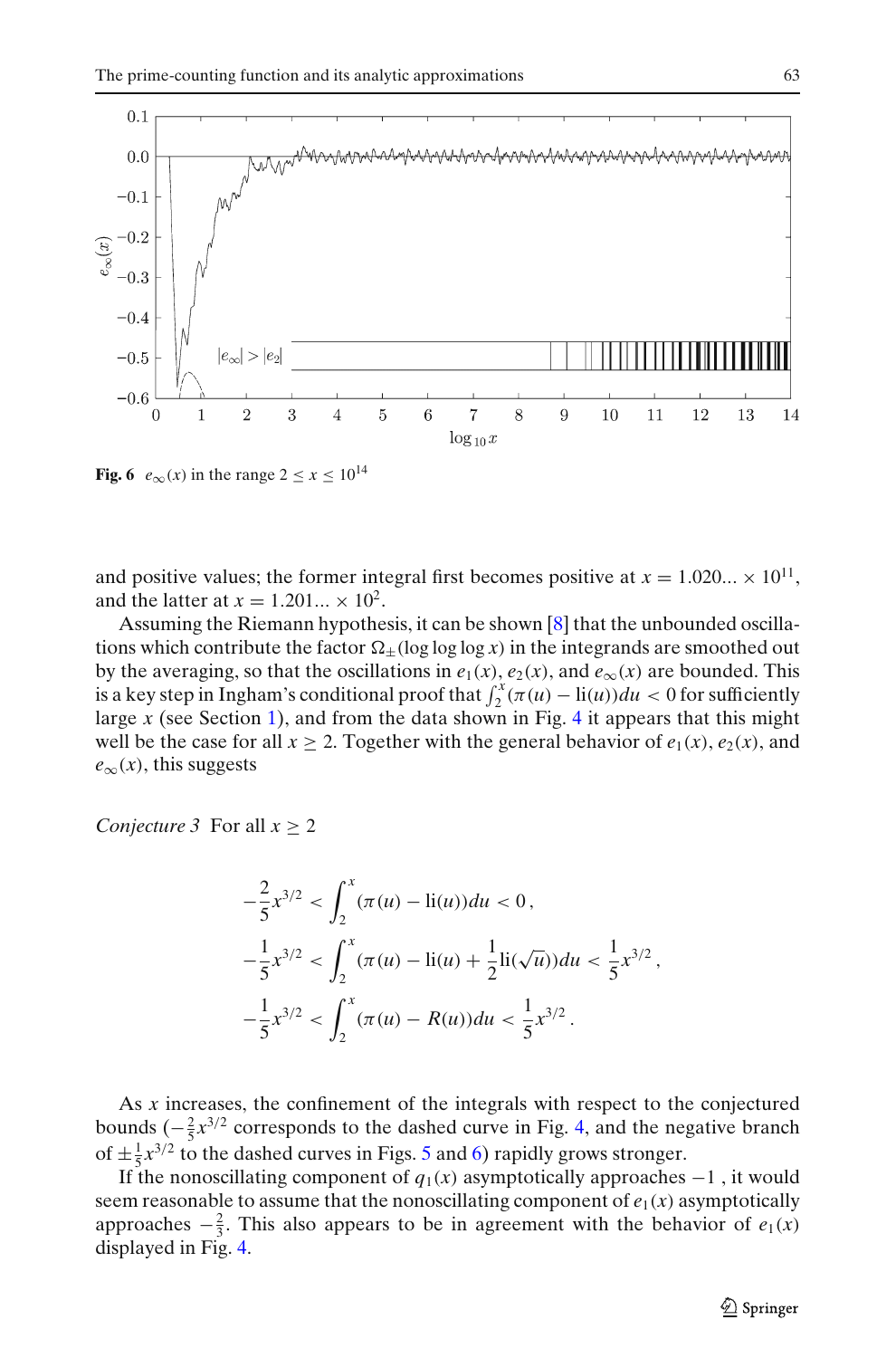<span id="page-8-0"></span>

**Fig. 6**  $e_{\infty}(x)$  in the range  $2 \le x \le 10^{14}$ 

and positive values; the former integral first becomes positive at  $x = 1.020... \times 10^{11}$ , and the latter at  $x = 1.201... \times 10^2$ .

Assuming the Riemann hypothesis, it can be shown [\[8](#page-14-0)] that the unbounded oscillations which contribute the factor  $\Omega_+$ (log log  $\log x$ ) in the integrands are smoothed out by the averaging, so that the oscillations in  $e_1(x)$ ,  $e_2(x)$ , and  $e_\infty(x)$  are bounded. This is a key step in Ingham's conditional proof that  $\int_2^x (\pi(u) - \text{li}(u)) du < 0$  for sufficiently large *x* (see Section [1\)](#page-0-0), and from the data shown in Fig. [4](#page-7-0) it appears that this might well be the case for all  $x \geq 2$ . Together with the general behavior of  $e_1(x)$ ,  $e_2(x)$ , and  $e_{\infty}(x)$ , this suggests

*Conjecture 3* For all *x* ≥ 2

$$
-\frac{2}{5}x^{3/2} < \int_{2}^{x} (\pi(u) - \text{li}(u))du < 0,
$$
\n
$$
-\frac{1}{5}x^{3/2} < \int_{2}^{x} (\pi(u) - \text{li}(u) + \frac{1}{2}\text{li}(\sqrt{u}))du < \frac{1}{5}x^{3/2},
$$
\n
$$
-\frac{1}{5}x^{3/2} < \int_{2}^{x} (\pi(u) - R(u))du < \frac{1}{5}x^{3/2}.
$$

As *x* increases, the confinement of the integrals with respect to the conjectured bounds  $\left(-\frac{2}{5}x^{3/2}\right)$  corresponds to the dashed curve in Fig. [4,](#page-7-0) and the negative branch of  $\pm \frac{1}{5}x^{3/2}$  $\pm \frac{1}{5}x^{3/2}$  $\pm \frac{1}{5}x^{3/2}$  to the dashed curves in Figs. 5 and 6) rapidly grows stronger.

If the nonoscillating component of  $q_1(x)$  asymptotically approaches  $-1$ , it would seem reasonable to assume that the nonoscillating component of  $e_1(x)$  asymptotically approaches  $-\frac{2}{3}$ . This also appears to be in agreement with the behavior of  $e_1(x)$ displayed in Fig. [4.](#page-7-0)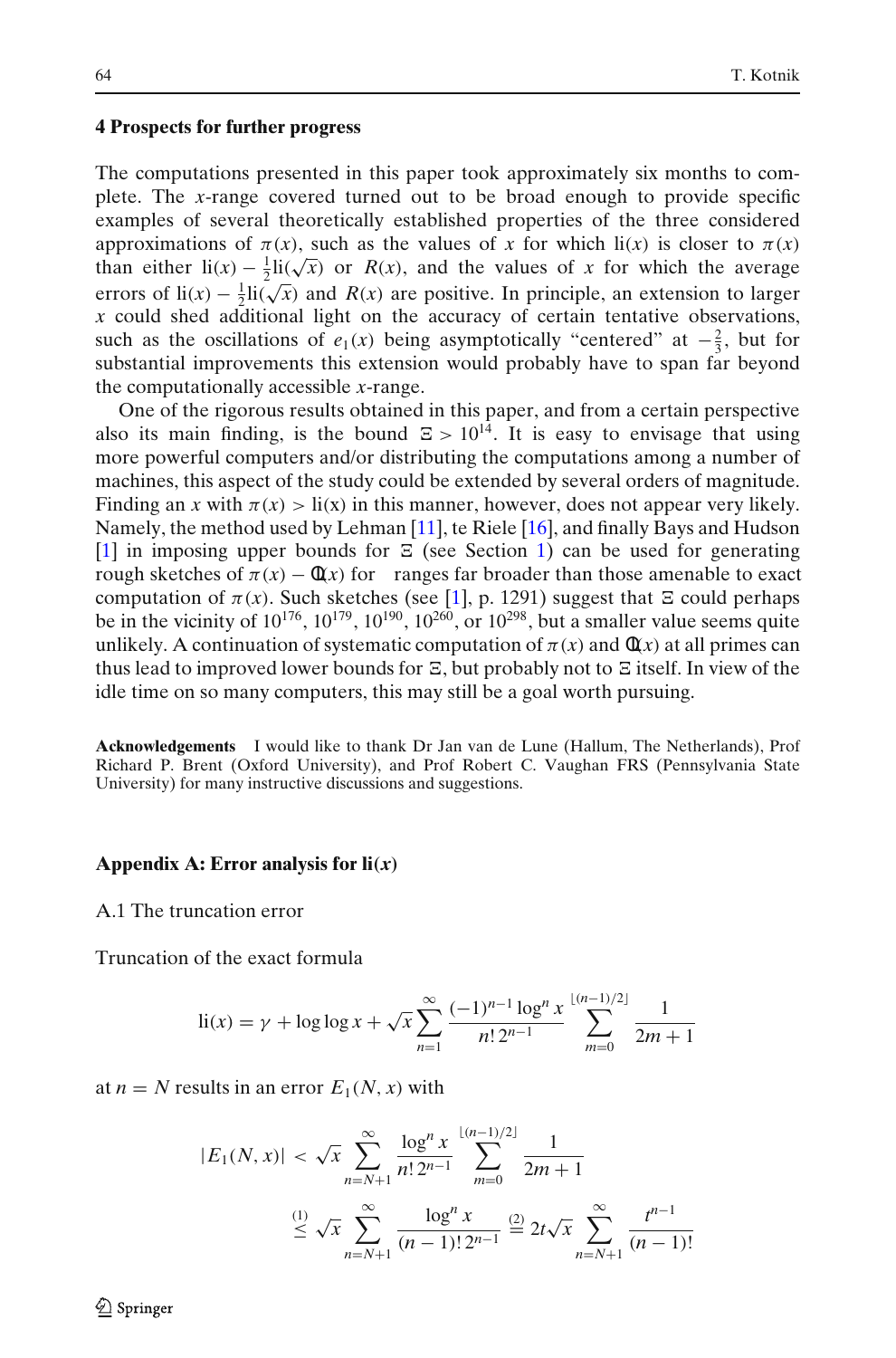#### <span id="page-9-0"></span>**4 Prospects for further progress**

The computations presented in this paper took approximately six months to complete. The *x*-range covered turned out to be broad enough to provide specific examples of several theoretically established properties of the three considered approximations of  $\pi(x)$ , such as the values of x for which li(x) is closer to  $\pi(x)$ than either  $\text{li}(x) - \frac{1}{2} \text{li}(\sqrt{x})$  or  $R(x)$ , and the values of *x* for which the average errors of  $\text{li}(x) - \frac{1}{2} \text{li}(\sqrt{x})$  and  $R(x)$  are positive. In principle, an extension to larger *x* could shed additional light on the accuracy of certain tentative observations, such as the oscillations of  $e_1(x)$  being asymptotically "centered" at  $-\frac{2}{3}$ , but for substantial improvements this extension would probably have to span far beyond the computationally accessible *x*-range.

One of the rigorous results obtained in this paper, and from a certain perspective also its main finding, is the bound  $E > 10^{14}$ . It is easy to envisage that using more powerful computers and/or distributing the computations among a number of machines, this aspect of the study could be extended by several orders of magnitude. Finding an *x* with  $\pi(x) > \text{li}(x)$  in this manner, however, does not appear very likely. Namely, the method used by Lehman [\[11](#page-14-0)], te Riele [\[16](#page-15-0)], and finally Bays and Hudson [\[1\]](#page-14-0) in imposing upper bounds for  $\Xi$  (see Section [1\)](#page-0-0) can be used for generating rough sketches of  $\pi(x) - \frac{d(x)}{dx}$  for ranges far broader than those amenable to exact computation of  $\pi(x)$ . Such sketches (see [\[1](#page-14-0)], p. 1291) suggest that  $\Xi$  could perhaps be in the vicinity of  $10^{176}$ ,  $10^{179}$ ,  $10^{190}$ ,  $10^{260}$ , or  $10^{298}$ , but a smaller value seems quite unlikely. A continuation of systematic computation of  $\pi(x)$  and  $\eta(x)$  at all primes can thus lead to improved lower bounds for  $\Xi$ , but probably not to  $\Xi$  itself. In view of the idle time on so many computers, this may still be a goal worth pursuing.

**Acknowledgements** I would like to thank Dr Jan van de Lune (Hallum, The Netherlands), Prof Richard P. Brent (Oxford University), and Prof Robert C. Vaughan FRS (Pennsylvania State University) for many instructive discussions and suggestions.

#### **Appendix A: Error analysis for li***(x)*

A.1 The truncation error

Truncation of the exact formula

li(x) = 
$$
\gamma
$$
 + log log x +  $\sqrt{x} \sum_{n=1}^{\infty} \frac{(-1)^{n-1} \log^n x}{n! 2^{n-1}} \sum_{m=0}^{\lfloor (n-1)/2 \rfloor} \frac{1}{2m+1}$ 

at  $n = N$  results in an error  $E_1(N, x)$  with

$$
|E_1(N, x)| < \sqrt{x} \sum_{n=N+1}^{\infty} \frac{\log^n x}{n! \, 2^{n-1}} \sum_{m=0}^{\lfloor (n-1)/2 \rfloor} \frac{1}{2m+1}
$$
  

$$
\stackrel{(1)}{\leq} \sqrt{x} \sum_{n=N+1}^{\infty} \frac{\log^n x}{(n-1)! \, 2^{n-1}} \stackrel{(2)}{=} 2t\sqrt{x} \sum_{n=N+1}^{\infty} \frac{t^{n-1}}{(n-1)!}
$$

2 Springer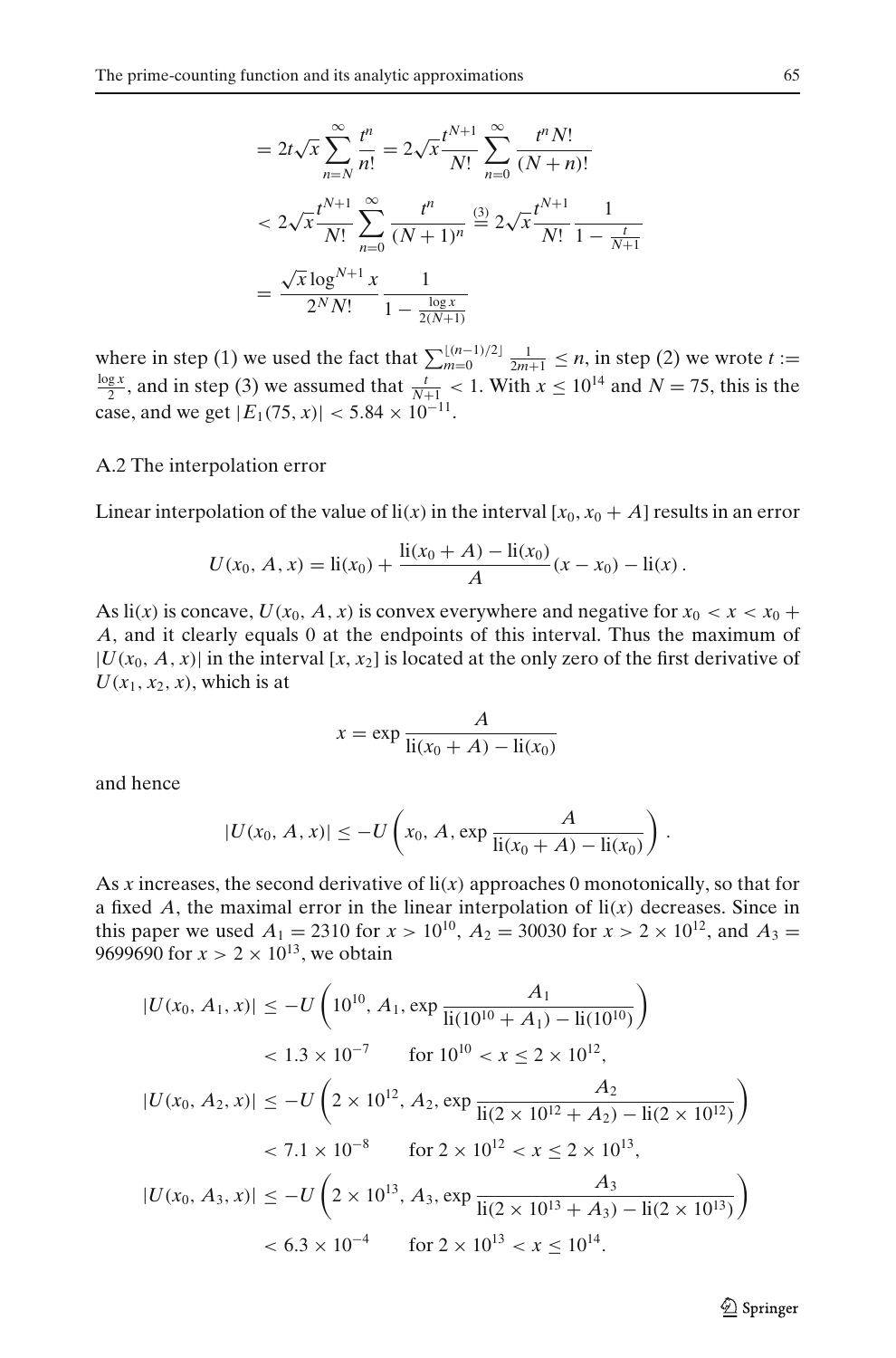$$
= 2t\sqrt{x} \sum_{n=N}^{\infty} \frac{t^n}{n!} = 2\sqrt{x} \frac{t^{N+1}}{N!} \sum_{n=0}^{\infty} \frac{t^n N!}{(N+n)!}
$$
  

$$
< 2\sqrt{x} \frac{t^{N+1}}{N!} \sum_{n=0}^{\infty} \frac{t^n}{(N+1)^n} \stackrel{(3)}{=} 2\sqrt{x} \frac{t^{N+1}}{N!} \frac{1}{1 - \frac{t}{N+1}}
$$
  

$$
= \frac{\sqrt{x} \log^{N+1} x}{2^N N!} \frac{1}{1 - \frac{\log x}{2(N+1)}}
$$

where in step (1) we used the fact that  $\sum_{m=0}^{\lfloor (n-1)/2 \rfloor} \frac{1}{2m+1} \le n$ , in step (2) we wrote  $t := \frac{\log x}{2}$  and in step (3) we assumed that  $t \le 1$  With  $x \le 10^{14}$  and  $N = 75$  this is the  $\frac{gx}{2}$ , and in step (3) we assumed that  $\frac{t}{N+1}$  < 1. With  $x \le 10^{14}$  and  $N = 75$ , this is the case, and we get  $|E_1(75, x)| < 5.84 \times 10^{-11}$ .

#### A.2 The interpolation error

Linear interpolation of the value of  $\text{li}(x)$  in the interval  $[x_0, x_0 + A]$  results in an error

$$
U(x_0, A, x) = \text{li}(x_0) + \frac{\text{li}(x_0 + A) - \text{li}(x_0)}{A}(x - x_0) - \text{li}(x).
$$

As  $\text{li}(x)$  is concave,  $U(x_0, A, x)$  is convex everywhere and negative for  $x_0 < x < x_0 +$ *A*, and it clearly equals 0 at the endpoints of this interval. Thus the maximum of  $|U(x_0, A, x)|$  in the interval [x, x<sub>2</sub>] is located at the only zero of the first derivative of  $U(x_1, x_2, x)$ , which is at

$$
x = \exp \frac{A}{\text{li}(x_0 + A) - \text{li}(x_0)}
$$

and hence

$$
|U(x_0, A, x)| \leq -U\left(x_0, A, \exp \frac{A}{\text{li}(x_0 + A) - \text{li}(x_0)}\right).
$$

As *x* increases, the second derivative of li(*x*) approaches 0 monotonically, so that for a fixed  $A$ , the maximal error in the linear interpolation of  $li(x)$  decreases. Since in this paper we used  $A_1 = 2310$  for  $x > 10^{10}$ ,  $A_2 = 30030$  for  $x > 2 \times 10^{12}$ , and  $A_3 =$ 9699690 for  $x > 2 \times 10^{13}$ , we obtain

$$
|U(x_0, A_1, x)| \le -U\left(10^{10}, A_1, \exp\frac{A_1}{\text{li}(10^{10} + A_1) - \text{li}(10^{10})}\right)
$$
  

$$
< 1.3 \times 10^{-7} \qquad \text{for } 10^{10} < x \le 2 \times 10^{12},
$$
  

$$
|U(x_0, A_2, x)| \le -U\left(2 \times 10^{12}, A_2, \exp\frac{A_2}{\text{li}(2 \times 10^{12} + A_2) - \text{li}(2 \times 10^{12})}\right)
$$
  

$$
< 7.1 \times 10^{-8} \qquad \text{for } 2 \times 10^{12} < x \le 2 \times 10^{13},
$$
  

$$
|U(x_0, A_3, x)| \le -U\left(2 \times 10^{13}, A_3, \exp\frac{A_3}{\text{li}(2 \times 10^{13} + A_3) - \text{li}(2 \times 10^{13})}\right)
$$
  

$$
< 6.3 \times 10^{-4} \qquad \text{for } 2 \times 10^{13} < x \le 10^{14}.
$$

 $\textcircled{2}$  Springer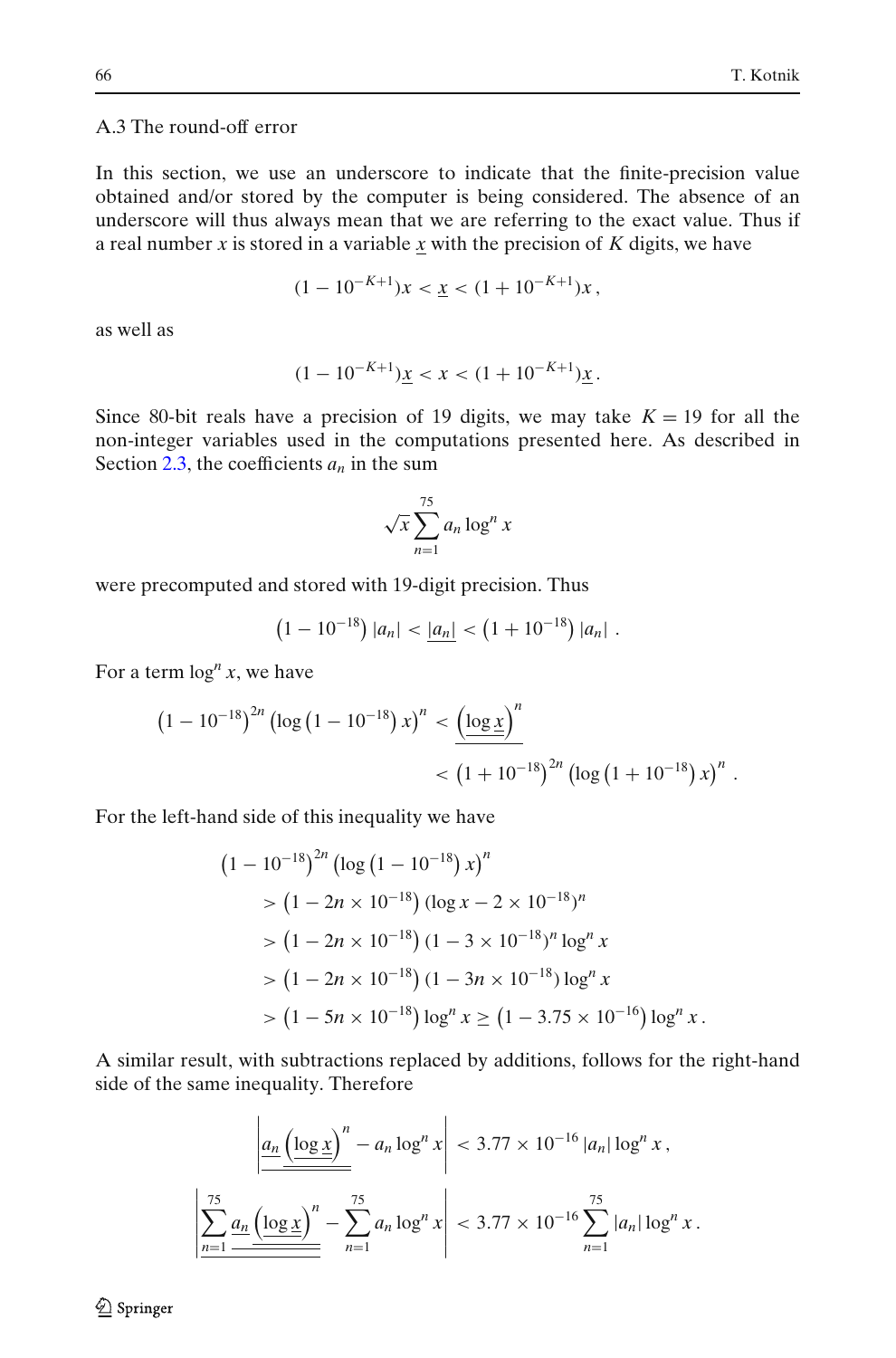# <span id="page-11-0"></span>A.3 The round-off error

In this section, we use an underscore to indicate that the finite-precision value obtained and/or stored by the computer is being considered. The absence of an underscore will thus always mean that we are referring to the exact value. Thus if a real number *x* is stored in a variable *x* with the precision of *K* digits, we have

$$
(1 - 10^{-K+1})x < \underline{x} < (1 + 10^{-K+1})x
$$

as well as

$$
(1 - 10^{-K+1})\underline{x} < x < (1 + 10^{-K+1})\underline{x} \, .
$$

Since 80-bit reals have a precision of 19 digits, we may take  $K = 19$  for all the non-integer variables used in the computations presented here. As described in Section [2.3,](#page-3-0) the coefficients  $a_n$  in the sum

$$
\sqrt{x} \sum_{n=1}^{75} a_n \log^n x
$$

were precomputed and stored with 19-digit precision. Thus

$$
(1-10^{-18})|a_n| < \underline{|a_n|} < (1+10^{-18})|a_n| \; .
$$

For a term  $\log^n x$ , we have

$$
(1-10^{-18})^{2n} \left(\log\left(1-10^{-18}\right)x\right)^n < \underbrace{\left(\log x\right)^n}_{\lt \left(1+10^{-18}\right)^{2n} \left(\log\left(1+10^{-18}\right)x\right)^n}.
$$

For the left-hand side of this inequality we have

$$
(1 - 10^{-18})^{2n} (\log (1 - 10^{-18}) x)^n
$$
  
> 
$$
(1 - 2n \times 10^{-18}) (\log x - 2 \times 10^{-18})^n
$$
  
> 
$$
(1 - 2n \times 10^{-18}) (1 - 3 \times 10^{-18})^n \log^n x
$$
  
> 
$$
(1 - 2n \times 10^{-18}) (1 - 3n \times 10^{-18}) \log^n x
$$
  
> 
$$
(1 - 5n \times 10^{-18}) \log^n x \ge (1 - 3.75 \times 10^{-16}) \log^n x.
$$

A similar result, with subtractions replaced by additions, follows for the right-hand side of the same inequality. Therefore

$$
\left| \frac{a_n \left( \log x \right)^n - a_n \log^n x}{\sum_{n=1}^{75} a_n \left( \frac{\log x}{n} \right)^n - \sum_{n=1}^{75} a_n \log^n x} \right| < 3.77 \times 10^{-16} \sum_{n=1}^{75} |a_n| \log^n x.
$$

 $\mathcal{Q}$  Springer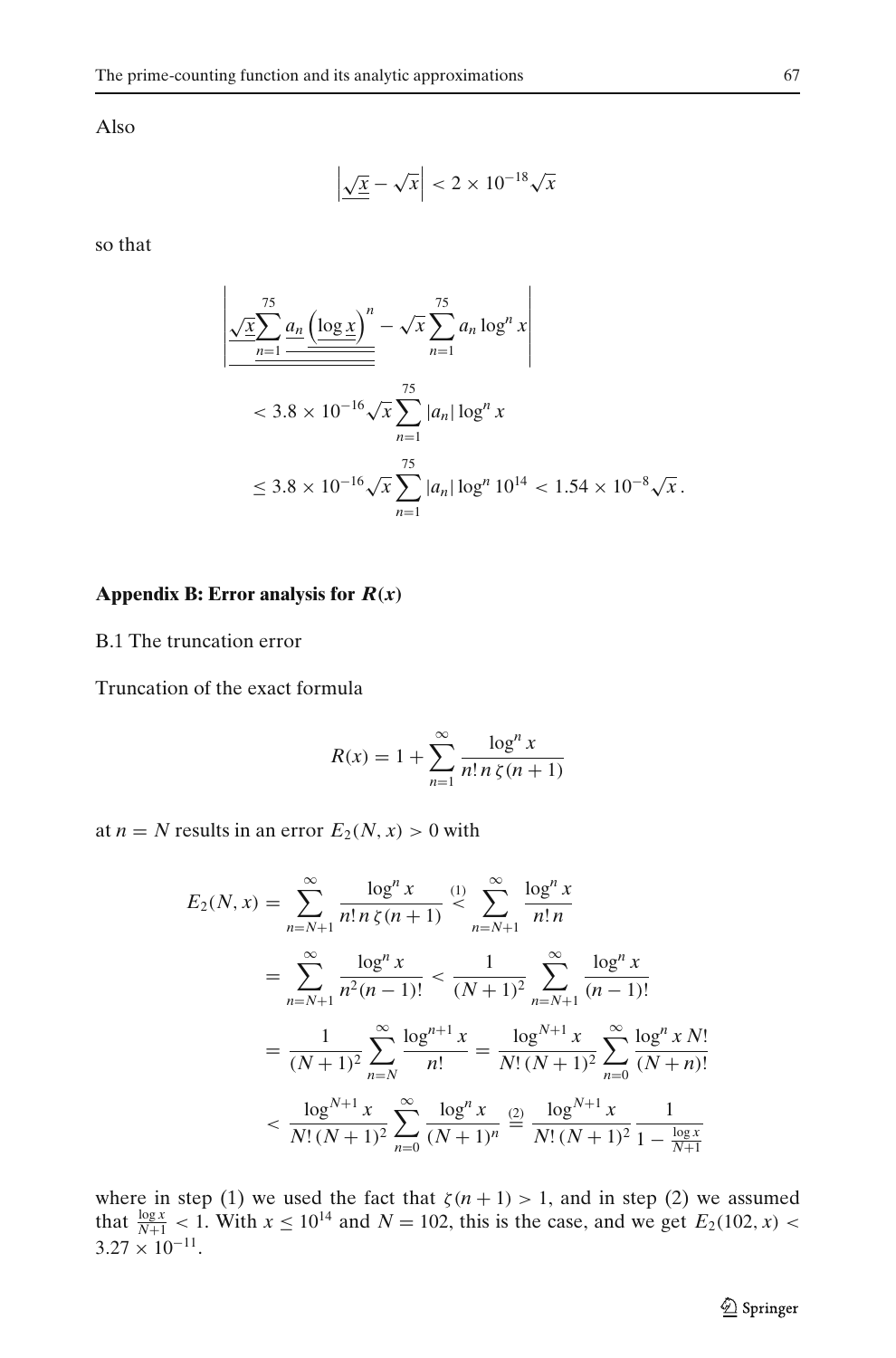<span id="page-12-0"></span>Also

$$
\left|\sqrt{\underline{x}} - \sqrt{x}\right| < 2 \times 10^{-18} \sqrt{x}
$$

so that

$$
\frac{\sqrt{\underline{x}} \sum_{n=1}^{75} \underline{a_n} \left( \underline{\log x} \right)^n - \sqrt{x} \sum_{n=1}^{75} a_n \log^n x}
$$
  
< 
$$
< 3.8 \times 10^{-16} \sqrt{x} \sum_{n=1}^{75} |a_n| \log^n x
$$
  

$$
\leq 3.8 \times 10^{-16} \sqrt{x} \sum_{n=1}^{75} |a_n| \log^n 10^{14} < 1.54 \times 10^{-8} \sqrt{x}.
$$

# **Appendix B: Error analysis for** *R(x)*

B.1 The truncation error

Truncation of the exact formula

$$
R(x) = 1 + \sum_{n=1}^{\infty} \frac{\log^n x}{n! \, n \, \zeta(n+1)}
$$

at  $n = N$  results in an error  $E_2(N, x) > 0$  with

$$
E_2(N, x) = \sum_{n=N+1}^{\infty} \frac{\log^n x}{n! n! n!} \frac{1}{n! n!} \sum_{n=N+1}^{\infty} \frac{\log^n x}{n! n}
$$
  
= 
$$
\sum_{n=N+1}^{\infty} \frac{\log^n x}{n^2 (n-1)!} < \frac{1}{(N+1)^2} \sum_{n=N+1}^{\infty} \frac{\log^n x}{(n-1)!}
$$
  
= 
$$
\frac{1}{(N+1)^2} \sum_{n=N}^{\infty} \frac{\log^{n+1} x}{n!} = \frac{\log^{N+1} x}{N! (N+1)^2} \sum_{n=0}^{\infty} \frac{\log^n x N!}{(N+n)!}
$$
  
< 
$$
< \frac{\log^{N+1} x}{N! (N+1)^2} \sum_{n=0}^{\infty} \frac{\log^n x}{(N+1)^n} \stackrel{(2)}{=} \frac{\log^{N+1} x}{N! (N+1)^2} \frac{1}{1 - \frac{\log x}{N+1}}
$$

where in step (1) we used the fact that  $\zeta(n + 1) > 1$ , and in step (2) we assumed that  $\frac{\log x}{N+1}$  < 1. With  $x \le 10^{14}$  and  $N = 102$ , this is the case, and we get  $E_2(102, x)$  <  $3.27 \times 10^{-11}$ .

 $\underline{\textcircled{\tiny 2}}$  Springer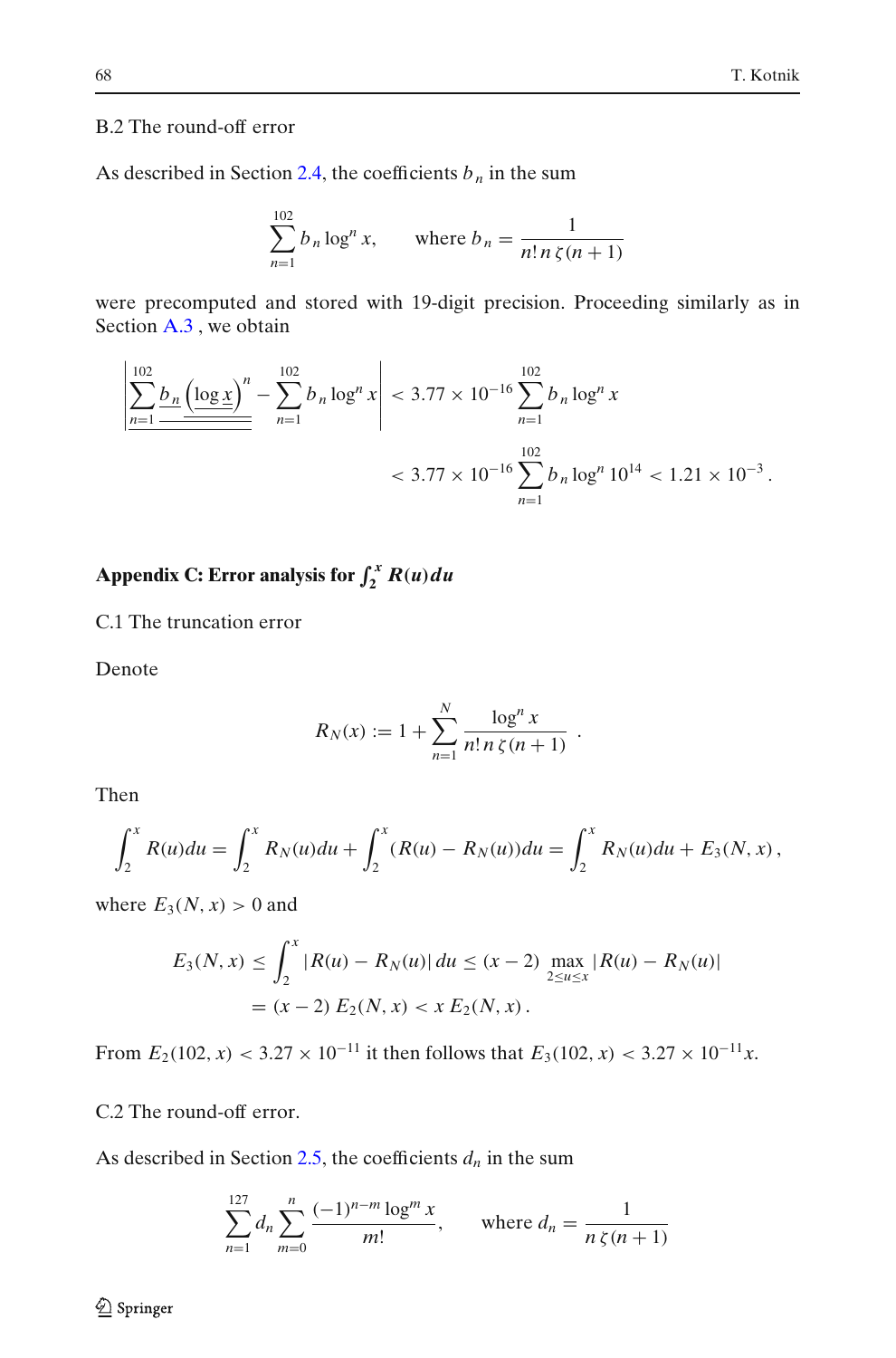## <span id="page-13-0"></span>B.2 The round-off error

As described in Section [2.4,](#page-3-0) the coefficients  $b_n$  in the sum

$$
\sum_{n=1}^{102} b_n \log^n x, \qquad \text{where } b_n = \frac{1}{n! \, n \, \zeta(n+1)}
$$

were precomputed and stored with 19-digit precision. Proceeding similarly as in Section [A.3](#page-11-0) , we obtain

$$
\left| \frac{\sum_{n=1}^{102} b_n \left( \log x \right)^n}{\sum_{n=1}^{102} b_n \log^n x} \right| < 3.77 \times 10^{-16} \sum_{n=1}^{102} b_n \log^n x
$$
\n
$$
< 3.77 \times 10^{-16} \sum_{n=1}^{102} b_n \log^n 10^{14} < 1.21 \times 10^{-3}.
$$

Appendix C: Error analysis for  $\int_2^x R(u) du$ 

C.1 The truncation error

Denote

$$
R_N(x) := 1 + \sum_{n=1}^N \frac{\log^n x}{n! \, n \, \zeta(n+1)} \; .
$$

Then

$$
\int_2^x R(u) du = \int_2^x R_N(u) du + \int_2^x (R(u) - R_N(u)) du = \int_2^x R_N(u) du + E_3(N, x),
$$

where  $E_3(N, x) > 0$  and

$$
E_3(N, x) \le \int_2^x |R(u) - R_N(u)| \, du \le (x - 2) \max_{2 \le u \le x} |R(u) - R_N(u)|
$$
  
=  $(x - 2) E_2(N, x) < x E_2(N, x)$ .

From  $E_2(102, x) < 3.27 \times 10^{-11}$  it then follows that  $E_3(102, x) < 3.27 \times 10^{-11}x$ .

C.2 The round-off error.

As described in Section [2.5,](#page-4-0) the coefficients  $d_n$  in the sum

$$
\sum_{n=1}^{127} d_n \sum_{m=0}^{n} \frac{(-1)^{n-m} \log^m x}{m!}, \quad \text{where } d_n = \frac{1}{n \zeta(n+1)}
$$

2 Springer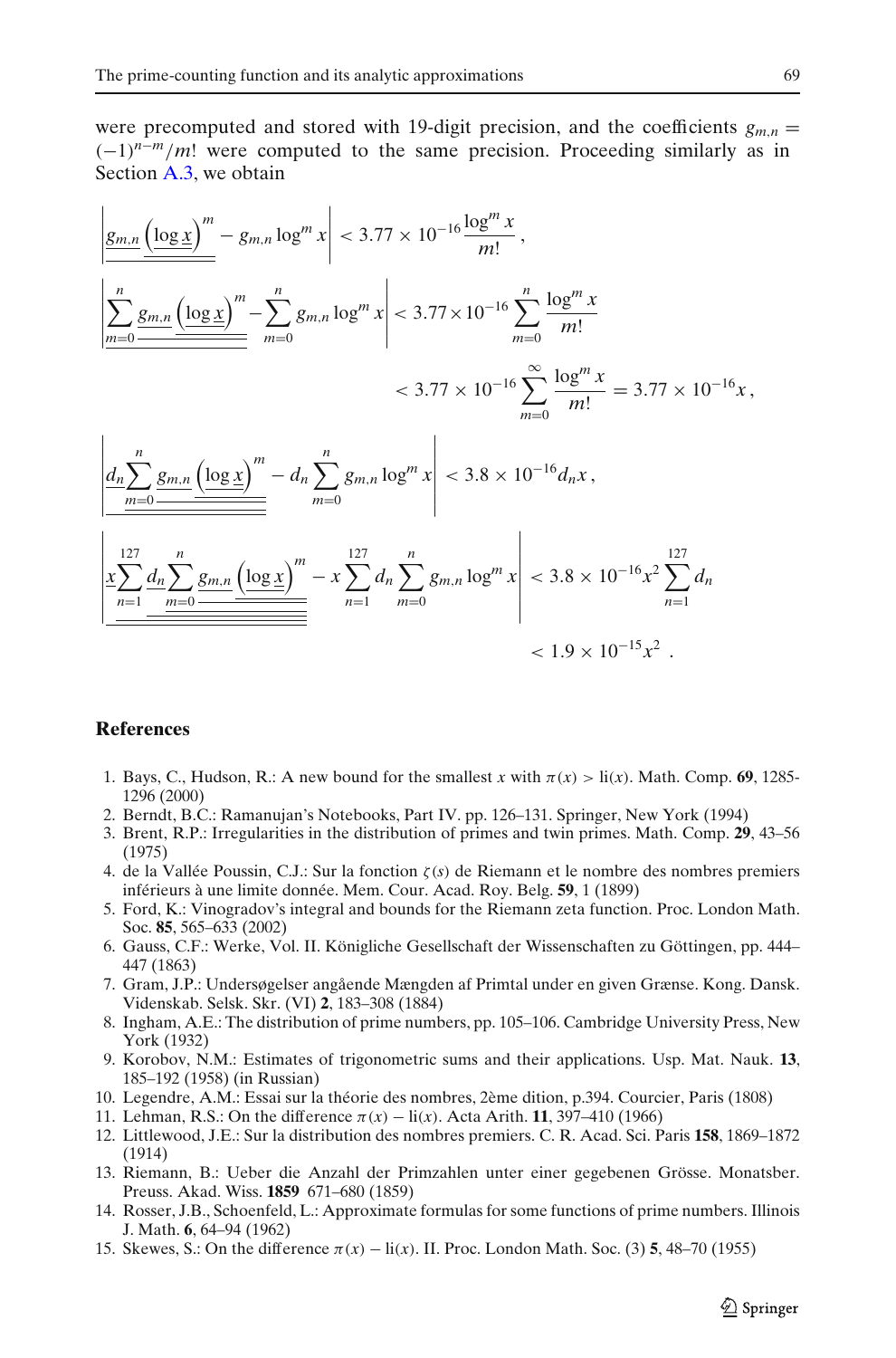<span id="page-14-0"></span>were precomputed and stored with 19-digit precision, and the coefficients  $g_{m,n}$  =  $(-1)^{n-m}/m!$  were computed to the same precision. Proceeding similarly as in Section [A.3,](#page-11-0) we obtain

$$
\left| \frac{g_{m,n}}{\frac{\left(\log x\right)^m}{m}} - g_{m,n} \log^m x \right| < 3.77 \times 10^{-16} \frac{\log^m x}{m!},
$$
\n
$$
\left| \frac{\sum_{m=0}^n \underline{g_{m,n}} \left( \underline{\log x} \right)^m}{\sum_{m=0}^n - \sum_{m=0}^n g_{m,n} \log^m x} \right| < 3.77 \times 10^{-16} \sum_{m=0}^n \frac{\log^m x}{m!} \n< 3.77 \times 10^{-16} \sum_{m=0}^\infty \frac{\log^m x}{m!} = 3.77 \times 10^{-16} x,
$$
\n
$$
\left| \frac{d_n \sum_{m=0}^n \underline{g_{m,n}} \left( \underline{\log x} \right)^m}{\sum_{m=0}^n - d_n \sum_{m=0}^n g_{m,n} \log^m x} \right| < 3.8 \times 10^{-16} d_n x,
$$
\n
$$
\left| \frac{x \sum_{n=1}^{127} \underline{d_n} \sum_{m=0}^n \underline{g_{m,n}} \left( \underline{\log x} \right)^m}{\sum_{n=1}^{127} - d_n \sum_{m=0}^n d_n \sum_{m=0}^n g_{m,n} \log^m x} \right| < 3.8 \times 10^{-16} x^2 \sum_{n=1}^{127} d_n \n< 1.9 \times 10^{-15} x^2.
$$

## **References**

- 1. Bays, C., Hudson, R.: A new bound for the smallest x with  $\pi(x) > \text{li}(x)$ . Math. Comp. 69, 1285-1296 (2000)
- 2. Berndt, B.C.: Ramanujan's Notebooks, Part IV. pp. 126–131. Springer, New York (1994)
- 3. Brent, R.P.: Irregularities in the distribution of primes and twin primes. Math. Comp. **29**, 43–56 (1975)
- 4. de la Vallée Poussin, C.J.: Sur la fonction ζ(*s*) de Riemann et le nombre des nombres premiers inférieurs à une limite donnée. Mem. Cour. Acad. Roy. Belg. **59**, 1 (1899)
- 5. Ford, K.: Vinogradov's integral and bounds for the Riemann zeta function. Proc. London Math. Soc. **85**, 565–633 (2002)
- 6. Gauss, C.F.: Werke, Vol. II. Königliche Gesellschaft der Wissenschaften zu Göttingen, pp. 444– 447 (1863)
- 7. Gram, J.P.: Undersøgelser angående Mængden af Primtal under en given Grænse. Kong. Dansk. Videnskab. Selsk. Skr. (VI) **2**, 183–308 (1884)
- 8. Ingham, A.E.: The distribution of prime numbers, pp. 105–106. Cambridge University Press, New York (1932)
- 9. Korobov, N.M.: Estimates of trigonometric sums and their applications. Usp. Mat. Nauk. **13**, 185–192 (1958) (in Russian)
- 10. Legendre, A.M.: Essai sur la théorie des nombres, 2ème dition, p.394. Courcier, Paris (1808)
- 11. Lehman, R.S.: On the difference  $\pi(x) \text{li}(x)$ . Acta Arith. **11**, 397–410 (1966)
- 12. Littlewood, J.E.: Sur la distribution des nombres premiers. C. R. Acad. Sci. Paris **158**, 1869–1872 (1914)
- 13. Riemann, B.: Ueber die Anzahl der Primzahlen unter einer gegebenen Grösse. Monatsber. Preuss. Akad. Wiss. **1859** 671–680 (1859)
- 14. Rosser, J.B., Schoenfeld, L.: Approximate formulas for some functions of prime numbers. Illinois J. Math. **6**, 64–94 (1962)
- 15. Skewes, S.: On the difference  $\pi(x) \text{li}(x)$ . II. Proc. London Math. Soc. (3) **5**, 48–70 (1955)